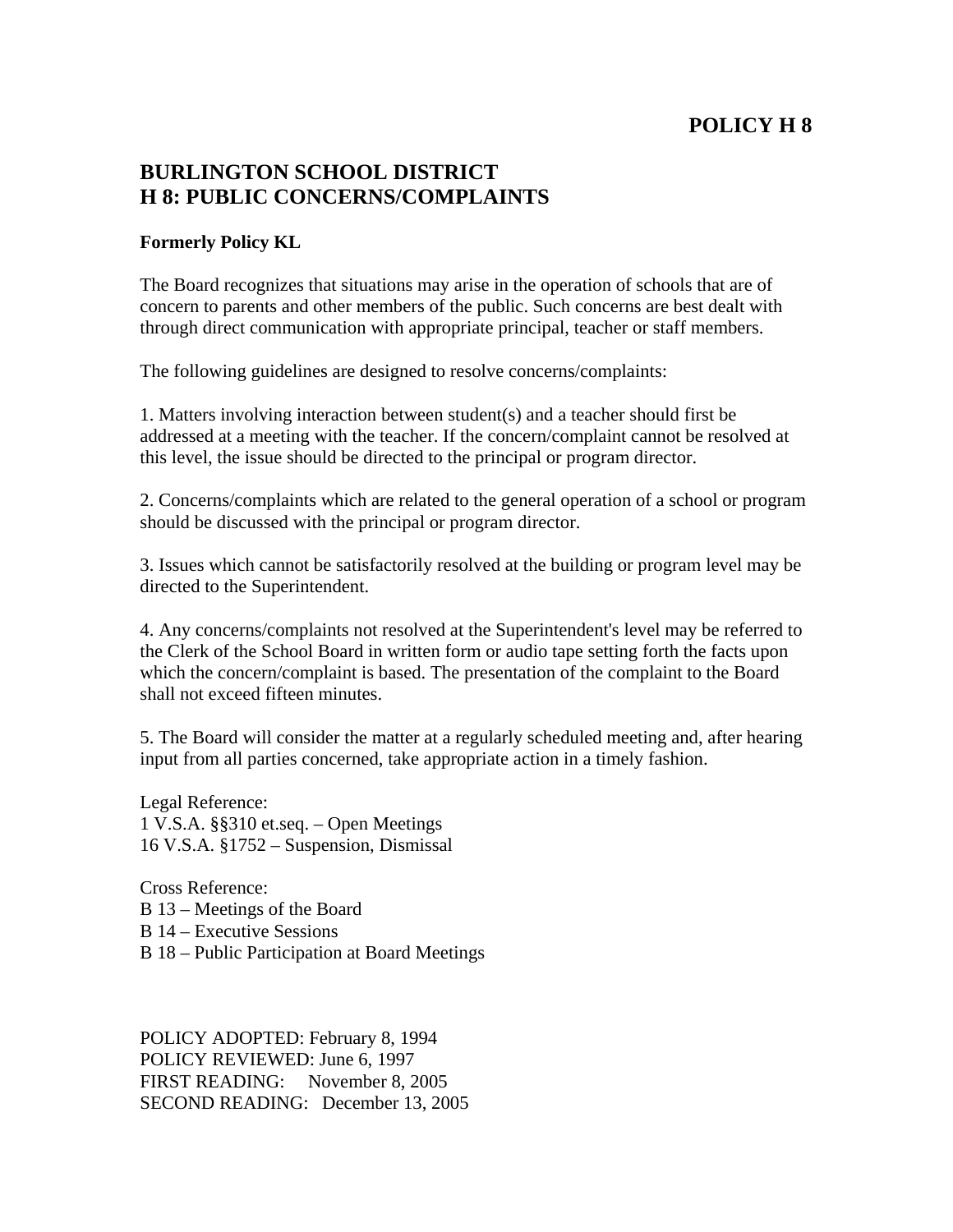## **POLICY H 8**

## **BURLINGTON SCHOOL DISTRICT H 8: PUBLIC CONCERNS/COMPLAINTS**

## **Formerly Policy KL**

The Board recognizes that situations may arise in the operation of schools that are of concern to parents and other members of the public. Such concerns are best dealt with through direct communication with appropriate principal, teacher or staff members.

The following guidelines are designed to resolve concerns/complaints:

1. Matters involving interaction between student(s) and a teacher should first be addressed at a meeting with the teacher. If the concern/complaint cannot be resolved at this level, the issue should be directed to the principal or program director.

2. Concerns/complaints which are related to the general operation of a school or program should be discussed with the principal or program director.

3. Issues which cannot be satisfactorily resolved at the building or program level may be directed to the Superintendent.

4. Any concerns/complaints not resolved at the Superintendent's level may be referred to the Clerk of the School Board in written form or audio tape setting forth the facts upon which the concern/complaint is based. The presentation of the complaint to the Board shall not exceed fifteen minutes.

5. The Board will consider the matter at a regularly scheduled meeting and, after hearing input from all parties concerned, take appropriate action in a timely fashion.

Legal Reference: 1 V.S.A. §§310 et.seq. – Open Meetings 16 V.S.A. §1752 – Suspension, Dismissal

Cross Reference: B 13 – Meetings of the Board B 14 – Executive Sessions B 18 – Public Participation at Board Meetings

POLICY ADOPTED: February 8, 1994 POLICY REVIEWED: June 6, 1997 FIRST READING: November 8, 2005 SECOND READING: December 13, 2005